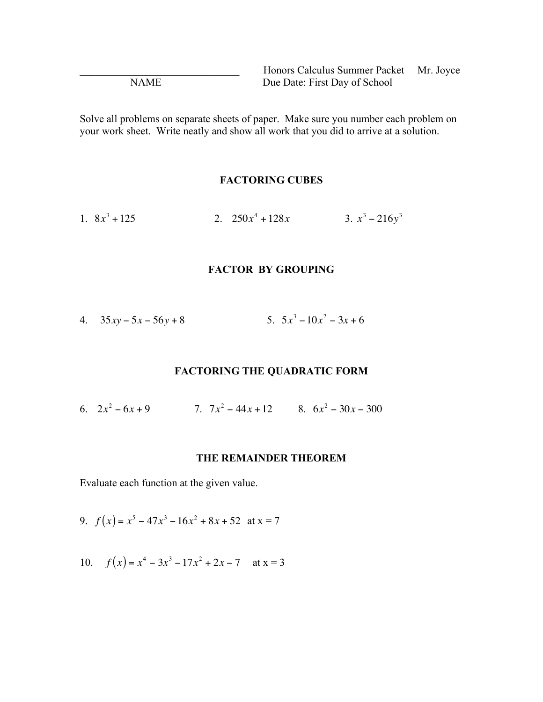Honors Calculus Summer Packet Mr. Joyce NAME Due Date: First Day of School

Solve all problems on separate sheets of paper. Make sure you number each problem on your work sheet. Write neatly and show all work that you did to arrive at a solution.

#### **FACTORING CUBES**

1.  $8x^3 + 125$  $3 + 125$  2.  $250x^4 + 128x$  3.  $x^3 - 216y^3$ 

## **FACTOR BY GROUPING**

| 4. $35xy - 5x - 56y + 8$ | 5. $5x^3 - 10x^2 - 3x + 6$ |
|--------------------------|----------------------------|
|--------------------------|----------------------------|

#### **FACTORING THE QUADRATIC FORM**

6.  $2x^2 - 6x + 9$  7.  $7x^2 - 44x + 12$  8.  $6x^2 - 30x - 300$ 

#### **THE REMAINDER THEOREM**

Evaluate each function at the given value.

9.  $f(x) = x^5 - 47x^3 - 16x^2 + 8x + 52$  at  $x = 7$ 

10.  $f(x) = x^4 - 3x^3 - 17x^2 + 2x - 7$  at  $x = 3$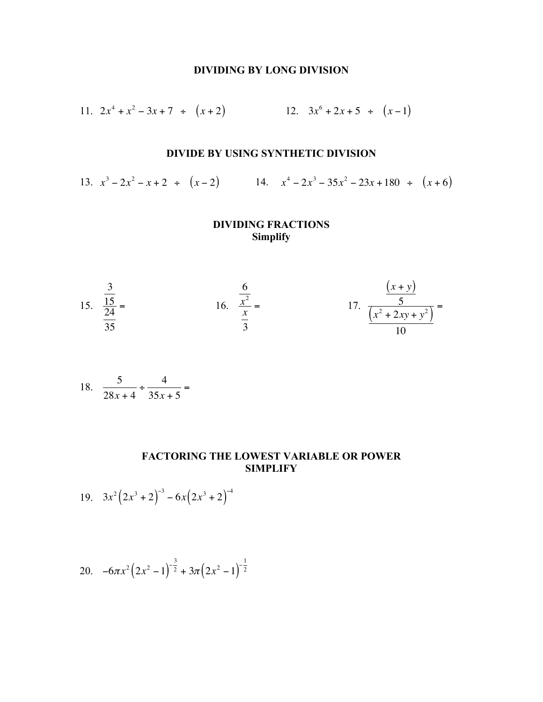## **DIVIDING BY LONG DIVISION**

11. 
$$
2x^4 + x^2 - 3x + 7 \div (x + 2)
$$
  
12.  $3x^6 + 2x + 5 \div (x - 1)$ 

## **DIVIDE BY USING SYNTHETIC DIVISION**

13.  $x^3 - 2x^2 - x + 2 \div (x - 2)$  14.  $x^4 - 2x^3 - 35x^2 - 23x + 180 \div (x + 6)$ 

## **DIVIDING FRACTIONS Simplify**

15. 
$$
\frac{\frac{3}{15}}{\frac{24}{35}} =
$$
 16. 
$$
\frac{\frac{6}{x^2}}{\frac{x}{3}} =
$$
 17. 
$$
\frac{\frac{(x+y)}{5}}{\frac{(x^2 + 2xy + y^2)}{10}} =
$$

18. 
$$
\frac{5}{28x+4} \div \frac{4}{35x+5} =
$$

# **FACTORING THE LOWEST VARIABLE OR POWER SIMPLIFY**

19. 
$$
3x^2(2x^3+2)^{-3} - 6x(2x^3+2)^{-4}
$$

20. 
$$
-6\pi x^2 (2x^2 - 1)^{-\frac{3}{2}} + 3\pi (2x^2 - 1)^{-\frac{1}{2}}
$$